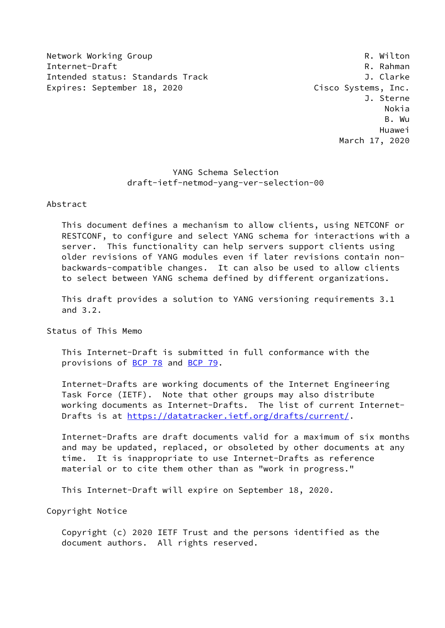Network Working Group **R. Wilton** Internet-Draft Research R. Rahman Intended status: Standards Track J. Clarke Expires: September 18, 2020 Cisco Systems, Inc.

 J. Sterne Nokia B. Wu Huawei March 17, 2020

# YANG Schema Selection draft-ietf-netmod-yang-ver-selection-00

#### Abstract

 This document defines a mechanism to allow clients, using NETCONF or RESTCONF, to configure and select YANG schema for interactions with a server. This functionality can help servers support clients using older revisions of YANG modules even if later revisions contain non backwards-compatible changes. It can also be used to allow clients to select between YANG schema defined by different organizations.

 This draft provides a solution to YANG versioning requirements 3.1 and 3.2.

Status of This Memo

 This Internet-Draft is submitted in full conformance with the provisions of [BCP 78](https://datatracker.ietf.org/doc/pdf/bcp78) and [BCP 79](https://datatracker.ietf.org/doc/pdf/bcp79).

 Internet-Drafts are working documents of the Internet Engineering Task Force (IETF). Note that other groups may also distribute working documents as Internet-Drafts. The list of current Internet- Drafts is at<https://datatracker.ietf.org/drafts/current/>.

 Internet-Drafts are draft documents valid for a maximum of six months and may be updated, replaced, or obsoleted by other documents at any time. It is inappropriate to use Internet-Drafts as reference material or to cite them other than as "work in progress."

This Internet-Draft will expire on September 18, 2020.

Copyright Notice

 Copyright (c) 2020 IETF Trust and the persons identified as the document authors. All rights reserved.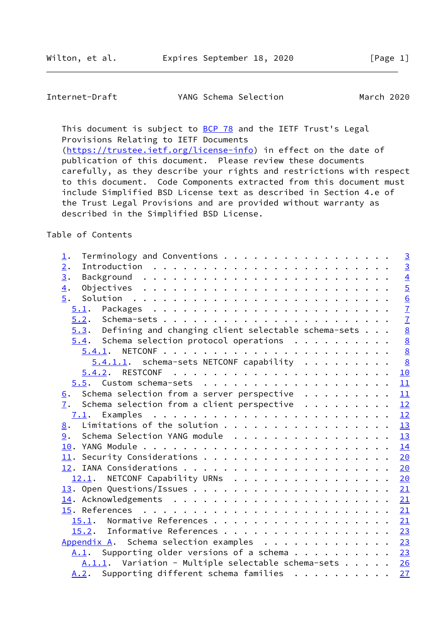## Internet-Draft YANG Schema Selection March 2020

This document is subject to **[BCP 78](https://datatracker.ietf.org/doc/pdf/bcp78)** and the IETF Trust's Legal Provisions Relating to IETF Documents [\(https://trustee.ietf.org/license-info](https://trustee.ietf.org/license-info)) in effect on the date of

 publication of this document. Please review these documents carefully, as they describe your rights and restrictions with respect to this document. Code Components extracted from this document must include Simplified BSD License text as described in Section 4.e of the Trust Legal Provisions and are provided without warranty as described in the Simplified BSD License.

Table of Contents

| Terminology and Conventions<br>$\underline{1}.$              |  | $\overline{3}$  |
|--------------------------------------------------------------|--|-----------------|
| 2.                                                           |  | $\overline{3}$  |
| $\overline{3}$ .                                             |  | $\overline{4}$  |
| $\overline{4}$ .                                             |  | $\overline{5}$  |
| 5.                                                           |  | $\underline{6}$ |
| 5.1.                                                         |  | $\overline{1}$  |
|                                                              |  |                 |
| $5.3$ . Defining and changing client selectable schema-sets  |  | $\frac{7}{8}$   |
| $5.4$ . Schema selection protocol operations                 |  | $\underline{8}$ |
| 5.4.1.                                                       |  | $\underline{8}$ |
| $5.4.1.1.$ schema-sets NETCONF capability                    |  | 8               |
|                                                              |  | 10              |
|                                                              |  | 11              |
| Schema selection from a server perspective<br>6.             |  | 11              |
| 7.<br>Schema selection from a client perspective $\cdots$    |  | 12              |
|                                                              |  | 12              |
| Limitations of the solution<br>8.                            |  | 13              |
| Schema Selection YANG module<br>9.                           |  | 13              |
|                                                              |  | 14              |
|                                                              |  | 20              |
|                                                              |  | 20              |
| 12.1. NETCONF Capability URNs                                |  | 20              |
|                                                              |  | 21              |
|                                                              |  | 21              |
|                                                              |  | 21              |
| 15.1.                                                        |  | 21              |
| 15.2. Informative References                                 |  | 23              |
| Appendix A. Schema selection examples                        |  | 23              |
| $\underline{A.1}$ . Supporting older versions of a schema 23 |  |                 |
| $A.1.1.$ Variation - Multiple selectable schema-sets 26      |  |                 |
|                                                              |  |                 |
| $A.2.$ Supporting different schema families                  |  | 27              |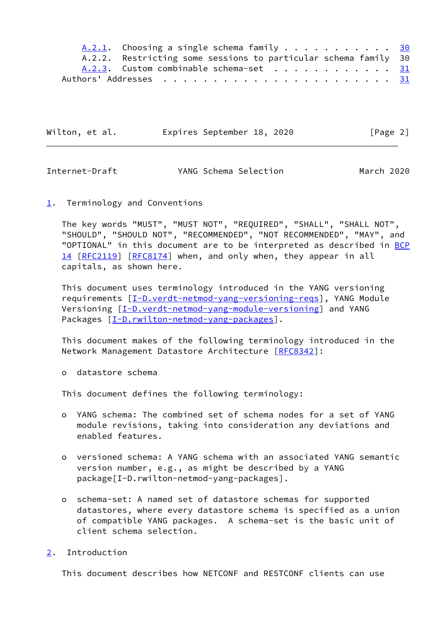| A.2.1. Choosing a single schema family 30                                    |  |
|------------------------------------------------------------------------------|--|
| A.2.2. Restricting some sessions to particular schema family 30              |  |
| A.2.3. Custom combinable schema-set $\dots \dots \dots \dots \dots \dots$ 31 |  |
|                                                                              |  |

| Wilton, et al. | Expires September 18, 2020 |  | [Page 2] |
|----------------|----------------------------|--|----------|
|----------------|----------------------------|--|----------|

<span id="page-2-1"></span>

| YANG Schema Selection | Internet-Draft |  |  | March 2020 |
|-----------------------|----------------|--|--|------------|
|-----------------------|----------------|--|--|------------|

#### <span id="page-2-0"></span>[1](#page-2-0). Terminology and Conventions

 The key words "MUST", "MUST NOT", "REQUIRED", "SHALL", "SHALL NOT", "SHOULD", "SHOULD NOT", "RECOMMENDED", "NOT RECOMMENDED", "MAY", and "OPTIONAL" in this document are to be interpreted as described in [BCP](https://datatracker.ietf.org/doc/pdf/bcp14) [14](https://datatracker.ietf.org/doc/pdf/bcp14) [[RFC2119\]](https://datatracker.ietf.org/doc/pdf/rfc2119) [\[RFC8174](https://datatracker.ietf.org/doc/pdf/rfc8174)] when, and only when, they appear in all capitals, as shown here.

 This document uses terminology introduced in the YANG versioning requirements [\[I-D.verdt-netmod-yang-versioning-reqs\]](#page-3-2), YANG Module Versioning [[I-D.verdt-netmod-yang-module-versioning\]](#page-23-3) and YANG Packages [\[I-D.rwilton-netmod-yang-packages](#page-23-4)].

 This document makes of the following terminology introduced in the Network Management Datastore Architecture [[RFC8342](https://datatracker.ietf.org/doc/pdf/rfc8342)]:

o datastore schema

This document defines the following terminology:

- o YANG schema: The combined set of schema nodes for a set of YANG module revisions, taking into consideration any deviations and enabled features.
- o versioned schema: A YANG schema with an associated YANG semantic version number, e.g., as might be described by a YANG package[I-D.rwilton-netmod-yang-packages].
- o schema-set: A named set of datastore schemas for supported datastores, where every datastore schema is specified as a union of compatible YANG packages. A schema-set is the basic unit of client schema selection.

## <span id="page-2-2"></span>[2](#page-2-2). Introduction

This document describes how NETCONF and RESTCONF clients can use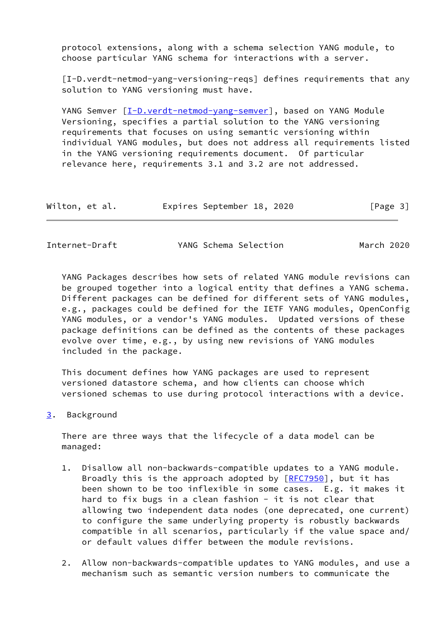protocol extensions, along with a schema selection YANG module, to choose particular YANG schema for interactions with a server.

<span id="page-3-2"></span> [I-D.verdt-netmod-yang-versioning-reqs] defines requirements that any solution to YANG versioning must have.

 YANG Semver [\[I-D.verdt-netmod-yang-semver](#page-23-5)], based on YANG Module Versioning, specifies a partial solution to the YANG versioning requirements that focuses on using semantic versioning within individual YANG modules, but does not address all requirements listed in the YANG versioning requirements document. Of particular relevance here, requirements 3.1 and 3.2 are not addressed.

| Wilton, et al. | Expires September 18, 2020 |  | [Page 3] |
|----------------|----------------------------|--|----------|
|----------------|----------------------------|--|----------|

<span id="page-3-1"></span>Internet-Draft YANG Schema Selection March 2020

 YANG Packages describes how sets of related YANG module revisions can be grouped together into a logical entity that defines a YANG schema. Different packages can be defined for different sets of YANG modules, e.g., packages could be defined for the IETF YANG modules, OpenConfig YANG modules, or a vendor's YANG modules. Updated versions of these package definitions can be defined as the contents of these packages evolve over time, e.g., by using new revisions of YANG modules included in the package.

 This document defines how YANG packages are used to represent versioned datastore schema, and how clients can choose which versioned schemas to use during protocol interactions with a device.

<span id="page-3-0"></span>[3](#page-3-0). Background

 There are three ways that the lifecycle of a data model can be managed:

- 1. Disallow all non-backwards-compatible updates to a YANG module. Broadly this is the approach adopted by  $[REC7950]$ , but it has been shown to be too inflexible in some cases. E.g. it makes it hard to fix bugs in a clean fashion  $-$  it is not clear that allowing two independent data nodes (one deprecated, one current) to configure the same underlying property is robustly backwards compatible in all scenarios, particularly if the value space and/ or default values differ between the module revisions.
- 2. Allow non-backwards-compatible updates to YANG modules, and use a mechanism such as semantic version numbers to communicate the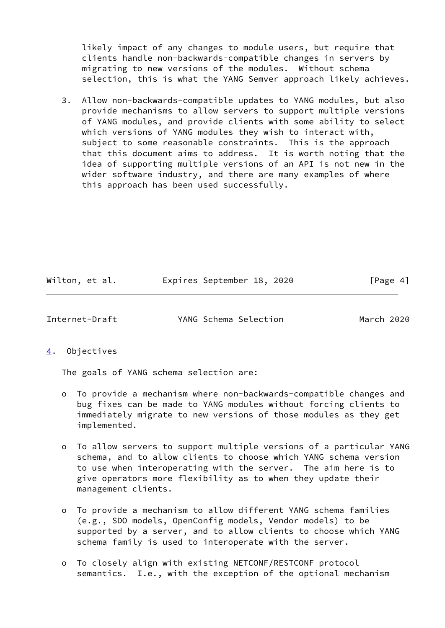likely impact of any changes to module users, but require that clients handle non-backwards-compatible changes in servers by migrating to new versions of the modules. Without schema selection, this is what the YANG Semver approach likely achieves.

 3. Allow non-backwards-compatible updates to YANG modules, but also provide mechanisms to allow servers to support multiple versions of YANG modules, and provide clients with some ability to select which versions of YANG modules they wish to interact with, subject to some reasonable constraints. This is the approach that this document aims to address. It is worth noting that the idea of supporting multiple versions of an API is not new in the wider software industry, and there are many examples of where this approach has been used successfully.

| Wilton, et al. |  | Expires September 18, 2020 |  |  | [Page 4] |  |
|----------------|--|----------------------------|--|--|----------|--|
|----------------|--|----------------------------|--|--|----------|--|

<span id="page-4-1"></span>Internet-Draft YANG Schema Selection March 2020

<span id="page-4-0"></span>[4](#page-4-0). Objectives

The goals of YANG schema selection are:

- o To provide a mechanism where non-backwards-compatible changes and bug fixes can be made to YANG modules without forcing clients to immediately migrate to new versions of those modules as they get implemented.
- o To allow servers to support multiple versions of a particular YANG schema, and to allow clients to choose which YANG schema version to use when interoperating with the server. The aim here is to give operators more flexibility as to when they update their management clients.
- o To provide a mechanism to allow different YANG schema families (e.g., SDO models, OpenConfig models, Vendor models) to be supported by a server, and to allow clients to choose which YANG schema family is used to interoperate with the server.
- o To closely align with existing NETCONF/RESTCONF protocol semantics. I.e., with the exception of the optional mechanism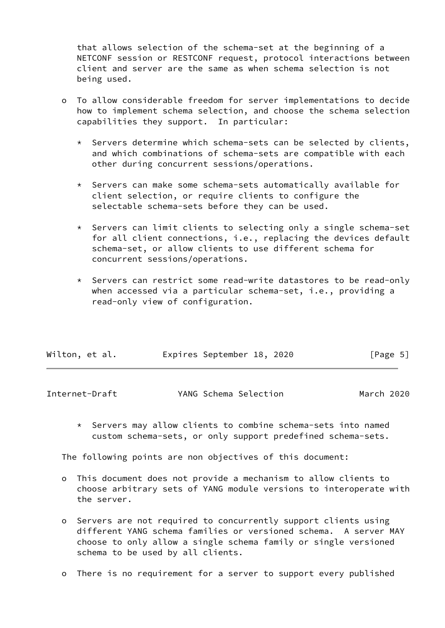that allows selection of the schema-set at the beginning of a NETCONF session or RESTCONF request, protocol interactions between client and server are the same as when schema selection is not being used.

- o To allow considerable freedom for server implementations to decide how to implement schema selection, and choose the schema selection capabilities they support. In particular:
	- \* Servers determine which schema-sets can be selected by clients, and which combinations of schema-sets are compatible with each other during concurrent sessions/operations.
	- \* Servers can make some schema-sets automatically available for client selection, or require clients to configure the selectable schema-sets before they can be used.
	- \* Servers can limit clients to selecting only a single schema-set for all client connections, i.e., replacing the devices default schema-set, or allow clients to use different schema for concurrent sessions/operations.
	- \* Servers can restrict some read-write datastores to be read-only when accessed via a particular schema-set, i.e., providing a read-only view of configuration.

| Wilton, et al. | Expires September 18, 2020 |  | [Page 5] |  |
|----------------|----------------------------|--|----------|--|
|                |                            |  |          |  |

<span id="page-5-0"></span>

| Internet-Draft | YANG Schema Selection | March 2020 |  |
|----------------|-----------------------|------------|--|
|                |                       |            |  |

 \* Servers may allow clients to combine schema-sets into named custom schema-sets, or only support predefined schema-sets.

The following points are non objectives of this document:

- o This document does not provide a mechanism to allow clients to choose arbitrary sets of YANG module versions to interoperate with the server.
- o Servers are not required to concurrently support clients using different YANG schema families or versioned schema. A server MAY choose to only allow a single schema family or single versioned schema to be used by all clients.
- o There is no requirement for a server to support every published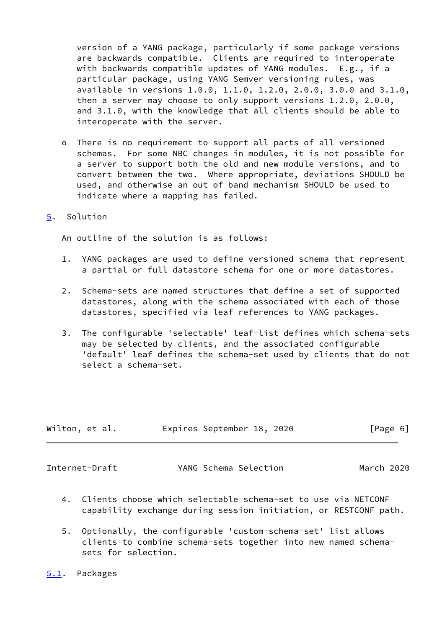version of a YANG package, particularly if some package versions are backwards compatible. Clients are required to interoperate with backwards compatible updates of YANG modules. E.g., if a particular package, using YANG Semver versioning rules, was available in versions 1.0.0, 1.1.0, 1.2.0, 2.0.0, 3.0.0 and 3.1.0, then a server may choose to only support versions 1.2.0, 2.0.0, and 3.1.0, with the knowledge that all clients should be able to interoperate with the server.

 o There is no requirement to support all parts of all versioned schemas. For some NBC changes in modules, it is not possible for a server to support both the old and new module versions, and to convert between the two. Where appropriate, deviations SHOULD be used, and otherwise an out of band mechanism SHOULD be used to indicate where a mapping has failed.

#### <span id="page-6-0"></span>[5](#page-6-0). Solution

An outline of the solution is as follows:

- 1. YANG packages are used to define versioned schema that represent a partial or full datastore schema for one or more datastores.
- 2. Schema-sets are named structures that define a set of supported datastores, along with the schema associated with each of those datastores, specified via leaf references to YANG packages.
- 3. The configurable 'selectable' leaf-list defines which schema-sets may be selected by clients, and the associated configurable 'default' leaf defines the schema-set used by clients that do not select a schema-set.

| Wilton, et al. | Expires September 18, 2020 | [Page 6] |
|----------------|----------------------------|----------|
|                |                            |          |

<span id="page-6-2"></span>Internet-Draft YANG Schema Selection March 2020

- 4. Clients choose which selectable schema-set to use via NETCONF capability exchange during session initiation, or RESTCONF path.
- 5. Optionally, the configurable 'custom-schema-set' list allows clients to combine schema-sets together into new named schema sets for selection.
- <span id="page-6-1"></span>[5.1](#page-6-1). Packages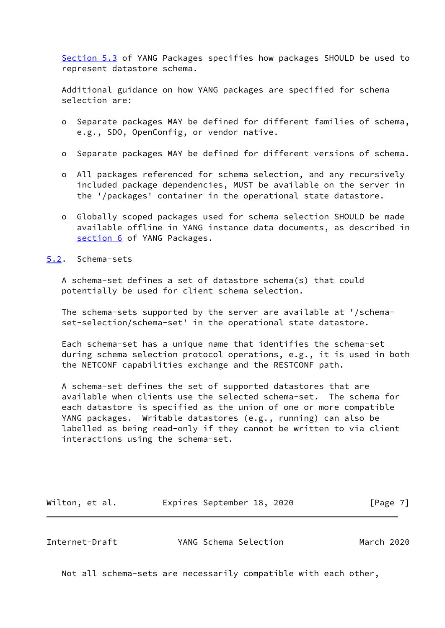[Section 5.3](#page-8-0) of YANG Packages specifies how packages SHOULD be used to represent datastore schema.

 Additional guidance on how YANG packages are specified for schema selection are:

- o Separate packages MAY be defined for different families of schema, e.g., SDO, OpenConfig, or vendor native.
- o Separate packages MAY be defined for different versions of schema.
- o All packages referenced for schema selection, and any recursively included package dependencies, MUST be available on the server in the '/packages' container in the operational state datastore.
- o Globally scoped packages used for schema selection SHOULD be made available offline in YANG instance data documents, as described in [section 6](#page-11-2) of YANG Packages.

#### <span id="page-7-0"></span>[5.2](#page-7-0). Schema-sets

 A schema-set defines a set of datastore schema(s) that could potentially be used for client schema selection.

 The schema-sets supported by the server are available at '/schema set-selection/schema-set' in the operational state datastore.

 Each schema-set has a unique name that identifies the schema-set during schema selection protocol operations, e.g., it is used in both the NETCONF capabilities exchange and the RESTCONF path.

 A schema-set defines the set of supported datastores that are available when clients use the selected schema-set. The schema for each datastore is specified as the union of one or more compatible YANG packages. Writable datastores (e.g., running) can also be labelled as being read-only if they cannot be written to via client interactions using the schema-set.

| Wilton, et al. | Expires September 18, 2020 |  | [Page 7] |
|----------------|----------------------------|--|----------|
|----------------|----------------------------|--|----------|

<span id="page-7-1"></span>Internet-Draft YANG Schema Selection March 2020

Not all schema-sets are necessarily compatible with each other,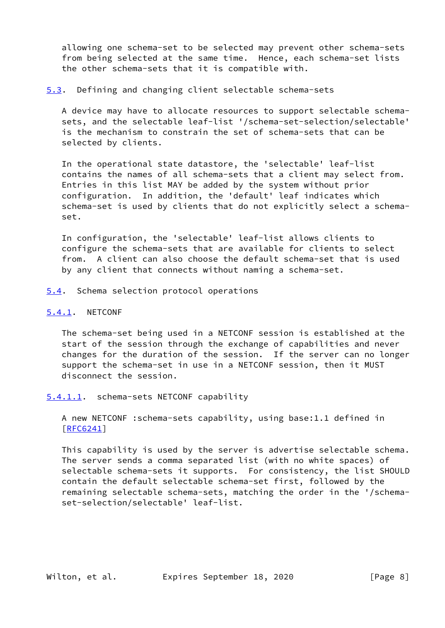allowing one schema-set to be selected may prevent other schema-sets from being selected at the same time. Hence, each schema-set lists the other schema-sets that it is compatible with.

<span id="page-8-0"></span>[5.3](#page-8-0). Defining and changing client selectable schema-sets

 A device may have to allocate resources to support selectable schema sets, and the selectable leaf-list '/schema-set-selection/selectable' is the mechanism to constrain the set of schema-sets that can be selected by clients.

 In the operational state datastore, the 'selectable' leaf-list contains the names of all schema-sets that a client may select from. Entries in this list MAY be added by the system without prior configuration. In addition, the 'default' leaf indicates which schema-set is used by clients that do not explicitly select a schema set.

 In configuration, the 'selectable' leaf-list allows clients to configure the schema-sets that are available for clients to select from. A client can also choose the default schema-set that is used by any client that connects without naming a schema-set.

<span id="page-8-1"></span>[5.4](#page-8-1). Schema selection protocol operations

#### <span id="page-8-2"></span>[5.4.1](#page-8-2). NETCONF

 The schema-set being used in a NETCONF session is established at the start of the session through the exchange of capabilities and never changes for the duration of the session. If the server can no longer support the schema-set in use in a NETCONF session, then it MUST disconnect the session.

<span id="page-8-3"></span>[5.4.1.1](#page-8-3). schema-sets NETCONF capability

 A new NETCONF :schema-sets capability, using base:1.1 defined in [\[RFC6241](https://datatracker.ietf.org/doc/pdf/rfc6241)]

 This capability is used by the server is advertise selectable schema. The server sends a comma separated list (with no white spaces) of selectable schema-sets it supports. For consistency, the list SHOULD contain the default selectable schema-set first, followed by the remaining selectable schema-sets, matching the order in the '/schema set-selection/selectable' leaf-list.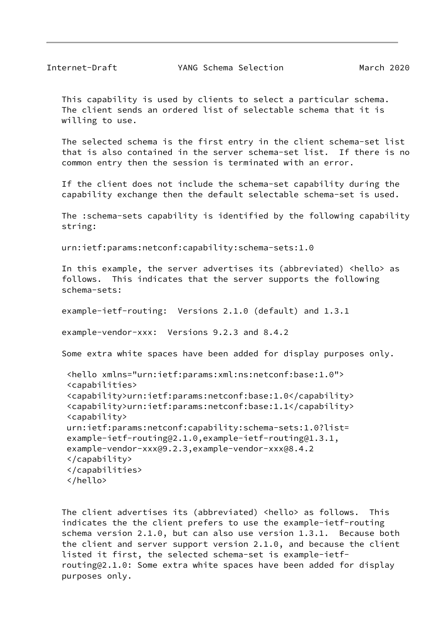This capability is used by clients to select a particular schema. The client sends an ordered list of selectable schema that it is willing to use.

 The selected schema is the first entry in the client schema-set list that is also contained in the server schema-set list. If there is no common entry then the session is terminated with an error.

 If the client does not include the schema-set capability during the capability exchange then the default selectable schema-set is used.

 The :schema-sets capability is identified by the following capability string:

urn:ietf:params:netconf:capability:schema-sets:1.0

 In this example, the server advertises its (abbreviated) <hello> as follows. This indicates that the server supports the following schema-sets:

example-ietf-routing: Versions 2.1.0 (default) and 1.3.1

example-vendor-xxx: Versions 9.2.3 and 8.4.2

Some extra white spaces have been added for display purposes only.

```
 <hello xmlns="urn:ietf:params:xml:ns:netconf:base:1.0">
 <capabilities>
 <capability>urn:ietf:params:netconf:base:1.0</capability>
 <capability>urn:ietf:params:netconf:base:1.1</capability>
 <capability>
 urn:ietf:params:netconf:capability:schema-sets:1.0?list=
 example-ietf-routing@2.1.0,example-ietf-routing@1.3.1,
 example-vendor-xxx@9.2.3,example-vendor-xxx@8.4.2
 </capability>
 </capabilities>
 </hello>
```
 The client advertises its (abbreviated) <hello> as follows. This indicates the the client prefers to use the example-ietf-routing schema version 2.1.0, but can also use version 1.3.1. Because both the client and server support version 2.1.0, and because the client listed it first, the selected schema-set is example-ietf routing@2.1.0: Some extra white spaces have been added for display purposes only.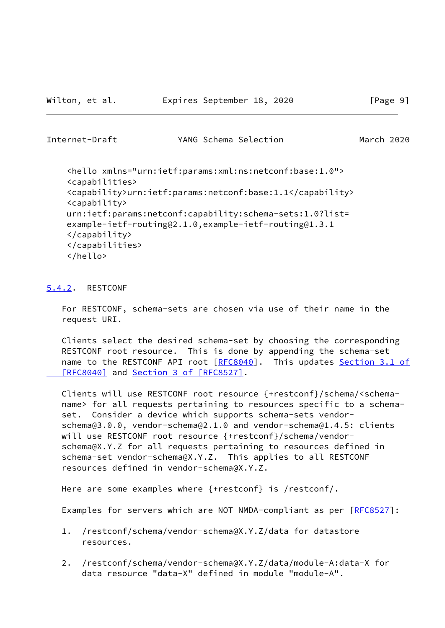<span id="page-10-1"></span>Internet-Draft YANG Schema Selection March 2020

 <hello xmlns="urn:ietf:params:xml:ns:netconf:base:1.0"> <capabilities> <capability>urn:ietf:params:netconf:base:1.1</capability> <capability> urn:ietf:params:netconf:capability:schema-sets:1.0?list= example-ietf-routing@2.1.0,example-ietf-routing@1.3.1 </capability> </capabilities> </hello>

## <span id="page-10-0"></span>[5.4.2](#page-10-0). RESTCONF

 For RESTCONF, schema-sets are chosen via use of their name in the request URI.

 Clients select the desired schema-set by choosing the corresponding RESTCONF root resource. This is done by appending the schema-set name to the RESTCONF API root [[RFC8040](https://datatracker.ietf.org/doc/pdf/rfc8040)]. This updates [Section](https://datatracker.ietf.org/doc/pdf/rfc8040#section-3.1) 3.1 of  [\[RFC8040\]](https://datatracker.ietf.org/doc/pdf/rfc8040#section-3.1) and Section [3 of \[RFC8527\]](https://datatracker.ietf.org/doc/pdf/rfc8527#section-3).

 Clients will use RESTCONF root resource {+restconf}/schema/<schema name> for all requests pertaining to resources specific to a schema set. Consider a device which supports schema-sets vendor schema@3.0.0, vendor-schema@2.1.0 and vendor-schema@1.4.5: clients will use RESTCONF root resource {+restconf}/schema/vendor schema@X.Y.Z for all requests pertaining to resources defined in schema-set vendor-schema@X.Y.Z. This applies to all RESTCONF resources defined in vendor-schema@X.Y.Z.

Here are some examples where {+restconf} is /restconf/.

Examples for servers which are NOT NMDA-compliant as per [\[RFC8527](https://datatracker.ietf.org/doc/pdf/rfc8527)]:

- 1. /restconf/schema/vendor-schema@X.Y.Z/data for datastore resources.
- 2. /restconf/schema/vendor-schema@X.Y.Z/data/module-A:data-X for data resource "data-X" defined in module "module-A".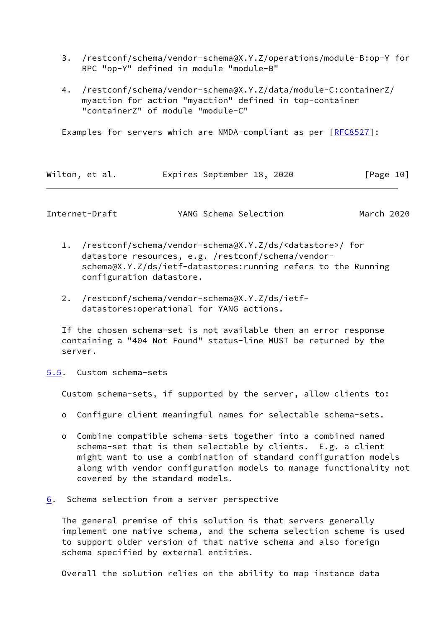- 3. /restconf/schema/vendor-schema@X.Y.Z/operations/module-B:op-Y for RPC "op-Y" defined in module "module-B"
- 4. /restconf/schema/vendor-schema@X.Y.Z/data/module-C:containerZ/ myaction for action "myaction" defined in top-container "containerZ" of module "module-C"

Examples for servers which are NMDA-compliant as per [\[RFC8527](https://datatracker.ietf.org/doc/pdf/rfc8527)]:

| Wilton, et al. |  | Expires September 18, 2020 |  |  | [Page 10] |  |
|----------------|--|----------------------------|--|--|-----------|--|
|----------------|--|----------------------------|--|--|-----------|--|

<span id="page-11-1"></span>

|  | Internet-Draft | YANG Schema Selection | March 2020 |
|--|----------------|-----------------------|------------|
|--|----------------|-----------------------|------------|

- 1. /restconf/schema/vendor-schema@X.Y.Z/ds/<datastore>/ for datastore resources, e.g. /restconf/schema/vendor schema@X.Y.Z/ds/ietf-datastores:running refers to the Running configuration datastore.
- 2. /restconf/schema/vendor-schema@X.Y.Z/ds/ietf datastores:operational for YANG actions.

 If the chosen schema-set is not available then an error response containing a "404 Not Found" status-line MUST be returned by the server.

<span id="page-11-0"></span>[5.5](#page-11-0). Custom schema-sets

Custom schema-sets, if supported by the server, allow clients to:

- o Configure client meaningful names for selectable schema-sets.
- o Combine compatible schema-sets together into a combined named schema-set that is then selectable by clients. E.g. a client might want to use a combination of standard configuration models along with vendor configuration models to manage functionality not covered by the standard models.
- <span id="page-11-2"></span>[6](#page-11-2). Schema selection from a server perspective

 The general premise of this solution is that servers generally implement one native schema, and the schema selection scheme is used to support older version of that native schema and also foreign schema specified by external entities.

Overall the solution relies on the ability to map instance data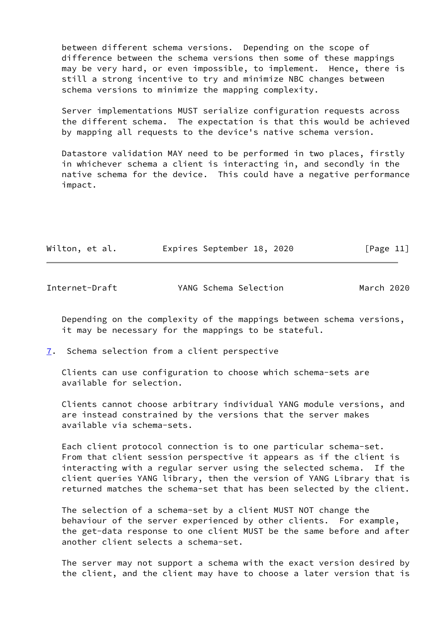between different schema versions. Depending on the scope of difference between the schema versions then some of these mappings may be very hard, or even impossible, to implement. Hence, there is still a strong incentive to try and minimize NBC changes between schema versions to minimize the mapping complexity.

 Server implementations MUST serialize configuration requests across the different schema. The expectation is that this would be achieved by mapping all requests to the device's native schema version.

 Datastore validation MAY need to be performed in two places, firstly in whichever schema a client is interacting in, and secondly in the native schema for the device. This could have a negative performance impact.

|  | Wilton, et al. |  | Expires September 18, 2020 |  | [Page 11] |
|--|----------------|--|----------------------------|--|-----------|
|--|----------------|--|----------------------------|--|-----------|

<span id="page-12-1"></span>

| Internet-Draft | YANG Schema Selection | March 2020 |  |
|----------------|-----------------------|------------|--|
|                |                       |            |  |

 Depending on the complexity of the mappings between schema versions, it may be necessary for the mappings to be stateful.

<span id="page-12-0"></span>[7](#page-12-0). Schema selection from a client perspective

 Clients can use configuration to choose which schema-sets are available for selection.

 Clients cannot choose arbitrary individual YANG module versions, and are instead constrained by the versions that the server makes available via schema-sets.

 Each client protocol connection is to one particular schema-set. From that client session perspective it appears as if the client is interacting with a regular server using the selected schema. If the client queries YANG library, then the version of YANG Library that is returned matches the schema-set that has been selected by the client.

 The selection of a schema-set by a client MUST NOT change the behaviour of the server experienced by other clients. For example, the get-data response to one client MUST be the same before and after another client selects a schema-set.

 The server may not support a schema with the exact version desired by the client, and the client may have to choose a later version that is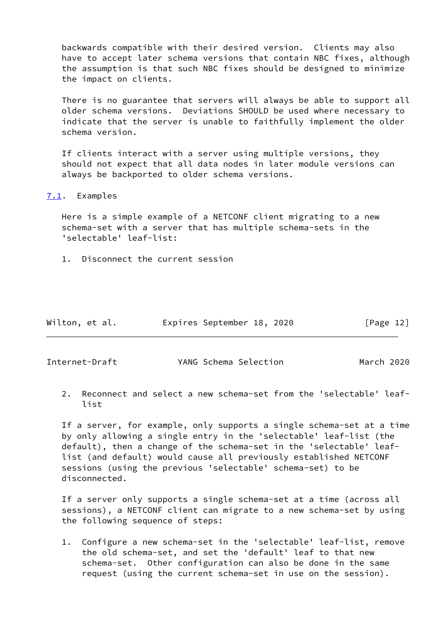backwards compatible with their desired version. Clients may also have to accept later schema versions that contain NBC fixes, although the assumption is that such NBC fixes should be designed to minimize the impact on clients.

 There is no guarantee that servers will always be able to support all older schema versions. Deviations SHOULD be used where necessary to indicate that the server is unable to faithfully implement the older schema version.

 If clients interact with a server using multiple versions, they should not expect that all data nodes in later module versions can always be backported to older schema versions.

<span id="page-13-0"></span>[7.1](#page-13-0). Examples

 Here is a simple example of a NETCONF client migrating to a new schema-set with a server that has multiple schema-sets in the 'selectable' leaf-list:

1. Disconnect the current session

| Wilton, et al. | Expires September 18, 2020 | [Page 12] |
|----------------|----------------------------|-----------|
|----------------|----------------------------|-----------|

<span id="page-13-1"></span>Internet-Draft YANG Schema Selection March 2020

 2. Reconnect and select a new schema-set from the 'selectable' leaf list

 If a server, for example, only supports a single schema-set at a time by only allowing a single entry in the 'selectable' leaf-list (the default), then a change of the schema-set in the 'selectable' leaf list (and default) would cause all previously established NETCONF sessions (using the previous 'selectable' schema-set) to be disconnected.

 If a server only supports a single schema-set at a time (across all sessions), a NETCONF client can migrate to a new schema-set by using the following sequence of steps:

 1. Configure a new schema-set in the 'selectable' leaf-list, remove the old schema-set, and set the 'default' leaf to that new schema-set. Other configuration can also be done in the same request (using the current schema-set in use on the session).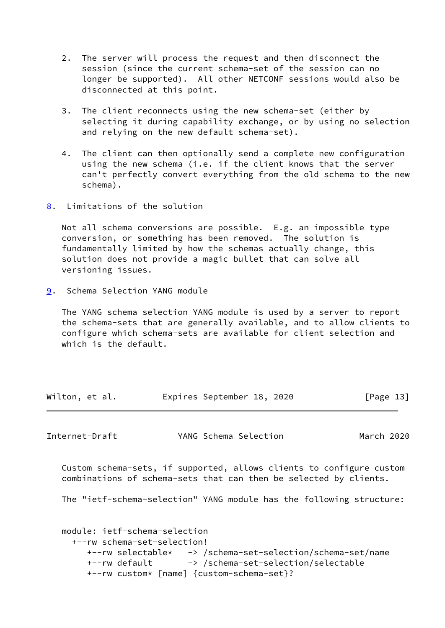- 2. The server will process the request and then disconnect the session (since the current schema-set of the session can no longer be supported). All other NETCONF sessions would also be disconnected at this point.
- 3. The client reconnects using the new schema-set (either by selecting it during capability exchange, or by using no selection and relying on the new default schema-set).
- 4. The client can then optionally send a complete new configuration using the new schema (i.e. if the client knows that the server can't perfectly convert everything from the old schema to the new schema).
- <span id="page-14-0"></span>[8](#page-14-0). Limitations of the solution

 Not all schema conversions are possible. E.g. an impossible type conversion, or something has been removed. The solution is fundamentally limited by how the schemas actually change, this solution does not provide a magic bullet that can solve all versioning issues.

<span id="page-14-1"></span>[9](#page-14-1). Schema Selection YANG module

 The YANG schema selection YANG module is used by a server to report the schema-sets that are generally available, and to allow clients to configure which schema-sets are available for client selection and which is the default.

| Wilton, et al. | Expires September 18, 2020 |  | [Page 13] |  |
|----------------|----------------------------|--|-----------|--|
|                |                            |  |           |  |

<span id="page-14-2"></span>Internet-Draft YANG Schema Selection March 2020

 Custom schema-sets, if supported, allows clients to configure custom combinations of schema-sets that can then be selected by clients.

The "ietf-schema-selection" YANG module has the following structure:

```
 module: ietf-schema-selection
   +--rw schema-set-selection!
      +--rw selectable* -> /schema-set-selection/schema-set/name
    +--rw default -> /schema-set-selection/selectable
      +--rw custom* [name] {custom-schema-set}?
```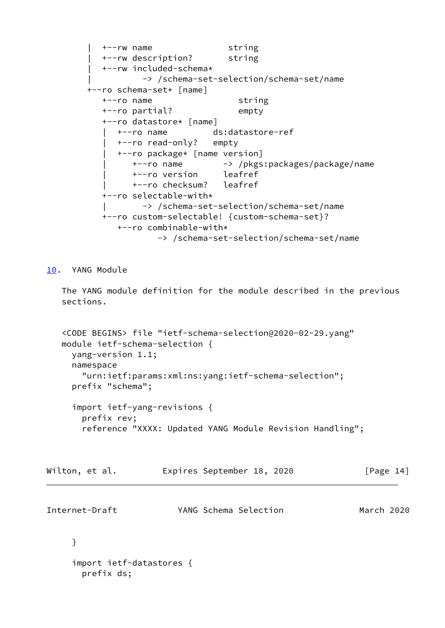```
 | +--rw name string
   | +--rw description? string
   | +--rw included-schema*
          -> /schema-set-selection/schema-set/name
 +--ro schema-set* [name]
   +--ro name string
   +--ro partial? empty
   +--ro datastore* [name]
      | +--ro name ds:datastore-ref
      | +--ro read-only? empty
      | +--ro package* [name version]
         | +--ro name -> /pkgs:packages/package/name
         | +--ro version leafref
         | +--ro checksum? leafref
   +--ro selectable-with*
           | -> /schema-set-selection/schema-set/name
   +--ro custom-selectable! {custom-schema-set}?
      +--ro combinable-with*
              -> /schema-set-selection/schema-set/name
```
<span id="page-15-0"></span>[10.](#page-15-0) YANG Module

 The YANG module definition for the module described in the previous sections.

 <CODE BEGINS> file "ietf-schema-selection@2020-02-29.yang" module ietf-schema-selection { yang-version 1.1; namespace "urn:ietf:params:xml:ns:yang:ietf-schema-selection"; prefix "schema";

 import ietf-yang-revisions { prefix rev; reference "XXXX: Updated YANG Module Revision Handling";

| Wilton, et al. |  | Expires September 18, 2020 |  |  | [Page 14] |  |  |  |
|----------------|--|----------------------------|--|--|-----------|--|--|--|
|----------------|--|----------------------------|--|--|-----------|--|--|--|

Internet-Draft YANG Schema Selection March 2020

# }

```
 import ietf-datastores {
   prefix ds;
```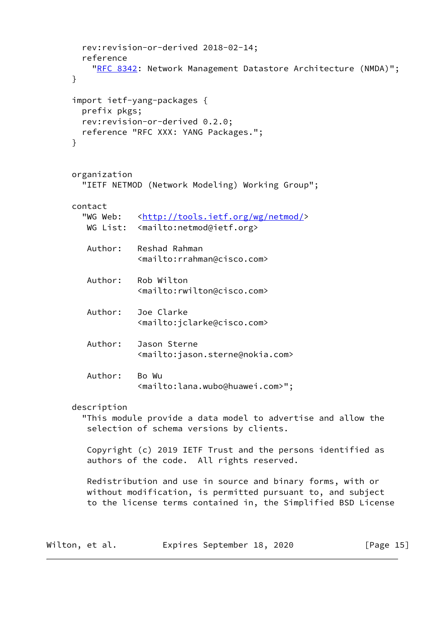```
 rev:revision-or-derived 2018-02-14;
        reference
          "RFC 8342: Network Management Datastore Architecture (NMDA)";
      }
      import ietf-yang-packages {
        prefix pkgs;
        rev:revision-or-derived 0.2.0;
        reference "RFC XXX: YANG Packages.";
      }
      organization
        "IETF NETMOD (Network Modeling) Working Group";
      contact
       <http://tools.ietf.org/wg/netmod/>
       WG List: <mailto:netmod@ietf.org>
         Author: Reshad Rahman
                   <mailto:rrahman@cisco.com>
         Author: Rob Wilton
                   <mailto:rwilton@cisco.com>
         Author: Joe Clarke
                   <mailto:jclarke@cisco.com>
         Author: Jason Sterne
                   <mailto:jason.sterne@nokia.com>
         Author: Bo Wu
                   <mailto:lana.wubo@huawei.com>";
      description
        "This module provide a data model to advertise and allow the
         selection of schema versions by clients.
         Copyright (c) 2019 IETF Trust and the persons identified as
         authors of the code. All rights reserved.
         Redistribution and use in source and binary forms, with or
        without modification, is permitted pursuant to, and subject
         to the license terms contained in, the Simplified BSD License
Wilton, et al. Expires September 18, 2020 [Page 15]
```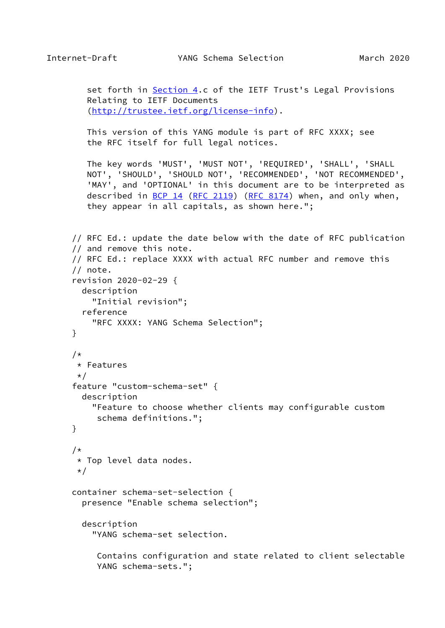set forth in **Section 4.c** of the IETF Trust's Legal Provisions Relating to IETF Documents [\(http://trustee.ietf.org/license-info](http://trustee.ietf.org/license-info)).

 This version of this YANG module is part of RFC XXXX; see the RFC itself for full legal notices.

 The key words 'MUST', 'MUST NOT', 'REQUIRED', 'SHALL', 'SHALL NOT', 'SHOULD', 'SHOULD NOT', 'RECOMMENDED', 'NOT RECOMMENDED', 'MAY', and 'OPTIONAL' in this document are to be interpreted as described in <u>BCP 14</u> [\(RFC 2119](https://datatracker.ietf.org/doc/pdf/rfc2119)) [\(RFC 8174](https://datatracker.ietf.org/doc/pdf/rfc8174)) when, and only when, they appear in all capitals, as shown here.";

```
 // RFC Ed.: update the date below with the date of RFC publication
 // and remove this note.
 // RFC Ed.: replace XXXX with actual RFC number and remove this
 // note.
 revision 2020-02-29 {
   description
     "Initial revision";
   reference
     "RFC XXXX: YANG Schema Selection";
 }
/*
 * Features
\star /
 feature "custom-schema-set" {
   description
     "Feature to choose whether clients may configurable custom
      schema definitions.";
 }
 /*
 * Top level data nodes.
 */
 container schema-set-selection {
   presence "Enable schema selection";
   description
     "YANG schema-set selection.
      Contains configuration and state related to client selectable
      YANG schema-sets.";
```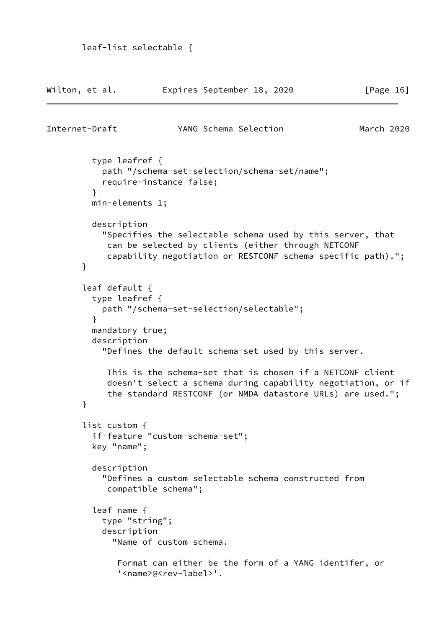| Wilton, et al. |                                                                         | Expires September 18, 2020                                                                                                                                                              | [Page 16]  |
|----------------|-------------------------------------------------------------------------|-----------------------------------------------------------------------------------------------------------------------------------------------------------------------------------------|------------|
| Internet-Draft |                                                                         | YANG Schema Selection                                                                                                                                                                   | March 2020 |
|                | type leafref $\{$<br>}<br>$min$ -elements 1;                            | path "/schema-set-selection/schema-set/name";<br>require-instance false;                                                                                                                |            |
|                | description<br>$\mathcal{F}$                                            | "Specifies the selectable schema used by this server, that<br>can be selected by clients (either through NETCONF<br>capability negotiation or RESTCONF schema specific path).";         |            |
|                | leaf default {<br>type leafref $\{$<br>$\mathcal{F}$<br>mandatory true; | path "/schema-set-selection/selectable";                                                                                                                                                |            |
|                | description                                                             | "Defines the default schema-set used by this server.                                                                                                                                    |            |
|                | }                                                                       | This is the schema-set that is chosen if a NETCONF client<br>doesn't select a schema during capability negotiation, or if<br>the standard RESTCONF (or NMDA datastore URLs) are used."; |            |
|                | list custom {<br>key "name";                                            | if-feature "custom-schema-set";                                                                                                                                                         |            |
|                | description                                                             | "Defines a custom selectable schema constructed from<br>compatible schema";                                                                                                             |            |
|                | leaf name $\{$<br>type "string";<br>description                         | "Name of custom schema.                                                                                                                                                                 |            |
|                |                                                                         | Format can either be the form of a YANG identifer, or<br>' <name>@<rev-label>'.</rev-label></name>                                                                                      |            |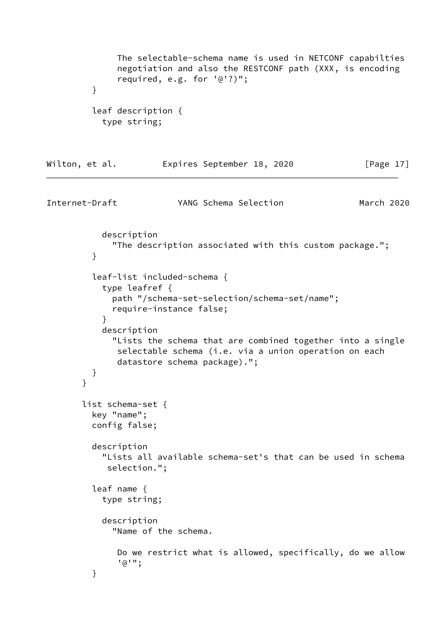```
 The selectable-schema name is used in NETCONF capabilties
               negotiation and also the RESTCONF path (XXX, is encoding
               required, e.g. for '@'?)";
         }
          leaf description {
           type string;
Wilton, et al. Expires September 18, 2020 [Page 17]
Internet-Draft YANG Schema Selection March 2020
           description
              "The description associated with this custom package.";
         }
          leaf-list included-schema {
           type leafref {
             path "/schema-set-selection/schema-set/name";
              require-instance false;
 }
           description
              "Lists the schema that are combined together into a single
              selectable schema (i.e. via a union operation on each
              datastore schema package).";
          }
       }
       list schema-set {
         key "name";
         config false;
         description
            "Lists all available schema-set's that can be used in schema
            selection.";
          leaf name {
           type string;
           description
              "Name of the schema.
               Do we restrict what is allowed, specifically, do we allow
               '@'";
         }
```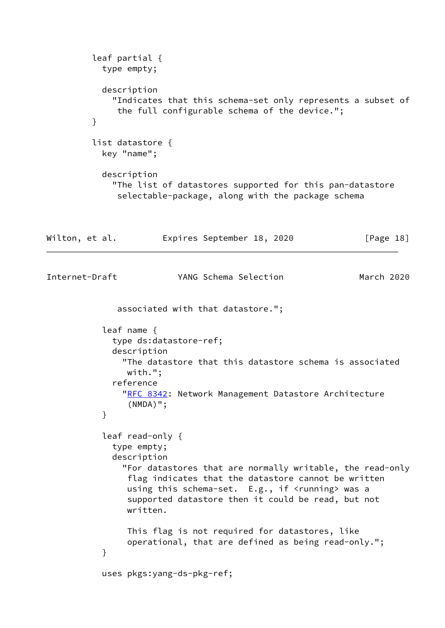```
 leaf partial {
            type empty;
           description
              "Indicates that this schema-set only represents a subset of
               the full configurable schema of the device.";
          }
          list datastore {
            key "name";
            description
              "The list of datastores supported for this pan-datastore
               selectable-package, along with the package schema
Wilton, et al.         Expires September 18, 2020           [Page 18]
Internet-Draft YANG Schema Selection March 2020
               associated with that datastore.";
            leaf name {
              type ds:datastore-ref;
              description
                "The datastore that this datastore schema is associated
                with.";
              reference
               "RFC 8342: Network Management Datastore Architecture
                 (NMDA)";
 }
            leaf read-only {
              type empty;
              description
                "For datastores that are normally writable, the read-only
                 flag indicates that the datastore cannot be written
                using this schema-set. E.g., if <running> was a
                 supported datastore then it could be read, but not
                written.
                This flag is not required for datastores, like
                 operational, that are defined as being read-only.";
 }
            uses pkgs:yang-ds-pkg-ref;
```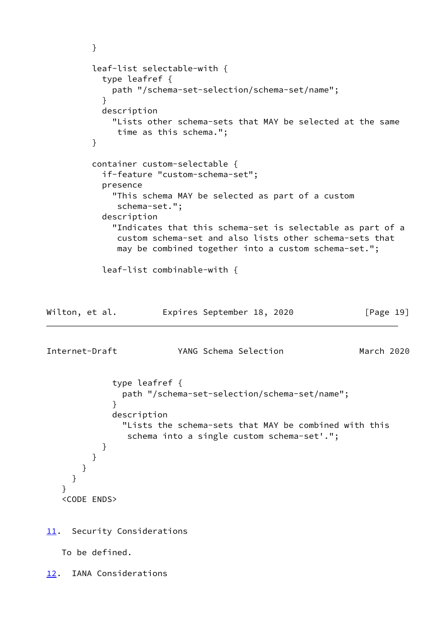```
 }
         leaf-list selectable-with {
           type leafref {
             path "/schema-set-selection/schema-set/name";
 }
           description
             "Lists other schema-sets that MAY be selected at the same
              time as this schema.";
         }
         container custom-selectable {
           if-feature "custom-schema-set";
           presence
             "This schema MAY be selected as part of a custom
              schema-set.";
           description
             "Indicates that this schema-set is selectable as part of a
              custom schema-set and also lists other schema-sets that
              may be combined together into a custom schema-set.";
           leaf-list combinable-with {
Wilton, et al. Expires September 18, 2020 [Page 19]
Internet-Draft YANG Schema Selection March 2020
             type leafref {
               path "/schema-set-selection/schema-set/name";
 }
             description
               "Lists the schema-sets that MAY be combined with this
                schema into a single custom schema-set'.";
 }
         }
       }
     }
    }
    <CODE ENDS>
11. Security Considerations
```
<span id="page-21-1"></span><span id="page-21-0"></span>To be defined.

<span id="page-21-2"></span>[12.](#page-21-2) IANA Considerations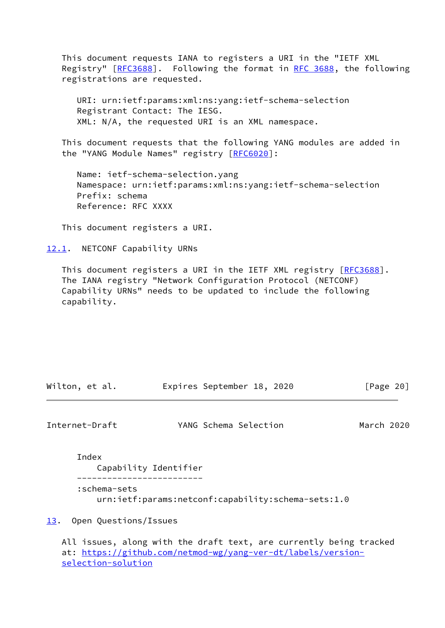This document requests IANA to registers a URI in the "IETF XML Registry" [[RFC3688](https://datatracker.ietf.org/doc/pdf/rfc3688)]. Following the format in [RFC 3688](https://datatracker.ietf.org/doc/pdf/rfc3688), the following registrations are requested.

 URI: urn:ietf:params:xml:ns:yang:ietf-schema-selection Registrant Contact: The IESG. XML: N/A, the requested URI is an XML namespace.

 This document requests that the following YANG modules are added in the "YANG Module Names" registry [\[RFC6020](https://datatracker.ietf.org/doc/pdf/rfc6020)]:

 Name: ietf-schema-selection.yang Namespace: urn:ietf:params:xml:ns:yang:ietf-schema-selection Prefix: schema Reference: RFC XXXX

This document registers a URI.

<span id="page-22-0"></span>[12.1](#page-22-0). NETCONF Capability URNs

This document registers a URI in the IETF XML registry [\[RFC3688](https://datatracker.ietf.org/doc/pdf/rfc3688)]. The IANA registry "Network Configuration Protocol (NETCONF) Capability URNs" needs to be updated to include the following capability.

| Wilton, et al. | Expires September 18, 2020 |  | [Page 20] |  |
|----------------|----------------------------|--|-----------|--|
|                |                            |  |           |  |

<span id="page-22-2"></span>Internet-Draft YANG Schema Selection March 2020

Index

 Capability Identifier ------------------------- :schema-sets urn:ietf:params:netconf:capability:schema-sets:1.0

<span id="page-22-1"></span>[13.](#page-22-1) Open Questions/Issues

 All issues, along with the draft text, are currently being tracked at: [https://github.com/netmod-wg/yang-ver-dt/labels/version](https://github.com/netmod-wg/yang-ver-dt/labels/version-selection-solution) [selection-solution](https://github.com/netmod-wg/yang-ver-dt/labels/version-selection-solution)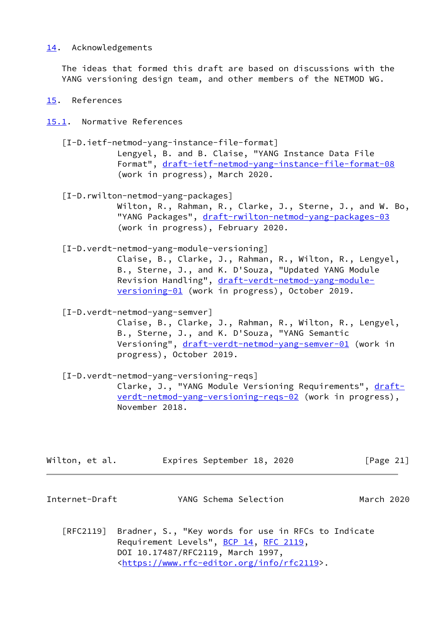## <span id="page-23-0"></span>[14.](#page-23-0) Acknowledgements

 The ideas that formed this draft are based on discussions with the YANG versioning design team, and other members of the NETMOD WG.

## <span id="page-23-1"></span>[15.](#page-23-1) References

<span id="page-23-2"></span>[15.1](#page-23-2). Normative References

 [I-D.ietf-netmod-yang-instance-file-format] Lengyel, B. and B. Claise, "YANG Instance Data File Format", [draft-ietf-netmod-yang-instance-file-format-08](https://datatracker.ietf.org/doc/pdf/draft-ietf-netmod-yang-instance-file-format-08) (work in progress), March 2020.

<span id="page-23-4"></span> [I-D.rwilton-netmod-yang-packages] Wilton, R., Rahman, R., Clarke, J., Sterne, J., and W. Bo, "YANG Packages", [draft-rwilton-netmod-yang-packages-03](https://datatracker.ietf.org/doc/pdf/draft-rwilton-netmod-yang-packages-03) (work in progress), February 2020.

<span id="page-23-3"></span>[I-D.verdt-netmod-yang-module-versioning]

 Claise, B., Clarke, J., Rahman, R., Wilton, R., Lengyel, B., Sterne, J., and K. D'Souza, "Updated YANG Module Revision Handling", [draft-verdt-netmod-yang-module](https://datatracker.ietf.org/doc/pdf/draft-verdt-netmod-yang-module-versioning-01) [versioning-01](https://datatracker.ietf.org/doc/pdf/draft-verdt-netmod-yang-module-versioning-01) (work in progress), October 2019.

<span id="page-23-5"></span>[I-D.verdt-netmod-yang-semver]

 Claise, B., Clarke, J., Rahman, R., Wilton, R., Lengyel, B., Sterne, J., and K. D'Souza, "YANG Semantic Versioning", [draft-verdt-netmod-yang-semver-01](https://datatracker.ietf.org/doc/pdf/draft-verdt-netmod-yang-semver-01) (work in progress), October 2019.

 [I-D.verdt-netmod-yang-versioning-reqs] Clarke, J., "YANG Module Versioning Requirements", [draft](https://datatracker.ietf.org/doc/pdf/draft-verdt-netmod-yang-versioning-reqs-02) [verdt-netmod-yang-versioning-reqs-02](https://datatracker.ietf.org/doc/pdf/draft-verdt-netmod-yang-versioning-reqs-02) (work in progress), November 2018.

| Wilton, et al. |  | Expires September 18, 2020 |  |  | [Page 21] |  |
|----------------|--|----------------------------|--|--|-----------|--|
|----------------|--|----------------------------|--|--|-----------|--|

Internet-Draft YANG Schema Selection March 2020

 [RFC2119] Bradner, S., "Key words for use in RFCs to Indicate Requirement Levels", [BCP 14](https://datatracker.ietf.org/doc/pdf/bcp14), [RFC 2119](https://datatracker.ietf.org/doc/pdf/rfc2119), DOI 10.17487/RFC2119, March 1997, <[https://www.rfc-editor.org/info/rfc2119>](https://www.rfc-editor.org/info/rfc2119).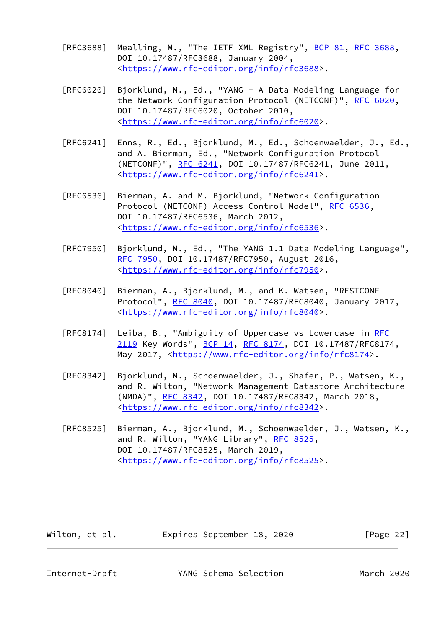- [RFC3688] Mealling, M., "The IETF XML Registry", [BCP 81](https://datatracker.ietf.org/doc/pdf/bcp81), [RFC 3688](https://datatracker.ietf.org/doc/pdf/rfc3688), DOI 10.17487/RFC3688, January 2004, <[https://www.rfc-editor.org/info/rfc3688>](https://www.rfc-editor.org/info/rfc3688).
- [RFC6020] Bjorklund, M., Ed., "YANG A Data Modeling Language for the Network Configuration Protocol (NETCONF)", [RFC 6020](https://datatracker.ietf.org/doc/pdf/rfc6020), DOI 10.17487/RFC6020, October 2010, <[https://www.rfc-editor.org/info/rfc6020>](https://www.rfc-editor.org/info/rfc6020).
- [RFC6241] Enns, R., Ed., Bjorklund, M., Ed., Schoenwaelder, J., Ed., and A. Bierman, Ed., "Network Configuration Protocol (NETCONF)", [RFC 6241,](https://datatracker.ietf.org/doc/pdf/rfc6241) DOI 10.17487/RFC6241, June 2011, <[https://www.rfc-editor.org/info/rfc6241>](https://www.rfc-editor.org/info/rfc6241).
- [RFC6536] Bierman, A. and M. Bjorklund, "Network Configuration Protocol (NETCONF) Access Control Model", [RFC 6536](https://datatracker.ietf.org/doc/pdf/rfc6536), DOI 10.17487/RFC6536, March 2012, <[https://www.rfc-editor.org/info/rfc6536>](https://www.rfc-editor.org/info/rfc6536).
- [RFC7950] Bjorklund, M., Ed., "The YANG 1.1 Data Modeling Language", [RFC 7950,](https://datatracker.ietf.org/doc/pdf/rfc7950) DOI 10.17487/RFC7950, August 2016, <[https://www.rfc-editor.org/info/rfc7950>](https://www.rfc-editor.org/info/rfc7950).
- [RFC8040] Bierman, A., Bjorklund, M., and K. Watsen, "RESTCONF Protocol", [RFC 8040](https://datatracker.ietf.org/doc/pdf/rfc8040), DOI 10.17487/RFC8040, January 2017, <[https://www.rfc-editor.org/info/rfc8040>](https://www.rfc-editor.org/info/rfc8040).
- [RFC8174] Leiba, B., "Ambiguity of Uppercase vs Lowercase in [RFC](https://datatracker.ietf.org/doc/pdf/rfc2119) [2119](https://datatracker.ietf.org/doc/pdf/rfc2119) Key Words", [BCP 14](https://datatracker.ietf.org/doc/pdf/bcp14), [RFC 8174,](https://datatracker.ietf.org/doc/pdf/rfc8174) DOI 10.17487/RFC8174, May 2017, [<https://www.rfc-editor.org/info/rfc8174](https://www.rfc-editor.org/info/rfc8174)>.
- [RFC8342] Bjorklund, M., Schoenwaelder, J., Shafer, P., Watsen, K., and R. Wilton, "Network Management Datastore Architecture (NMDA)", [RFC 8342,](https://datatracker.ietf.org/doc/pdf/rfc8342) DOI 10.17487/RFC8342, March 2018, <[https://www.rfc-editor.org/info/rfc8342>](https://www.rfc-editor.org/info/rfc8342).
- [RFC8525] Bierman, A., Bjorklund, M., Schoenwaelder, J., Watsen, K., and R. Wilton, "YANG Library", [RFC 8525](https://datatracker.ietf.org/doc/pdf/rfc8525), DOI 10.17487/RFC8525, March 2019, <[https://www.rfc-editor.org/info/rfc8525>](https://www.rfc-editor.org/info/rfc8525).

Wilton, et al. Expires September 18, 2020 [Page 22]

<span id="page-24-0"></span>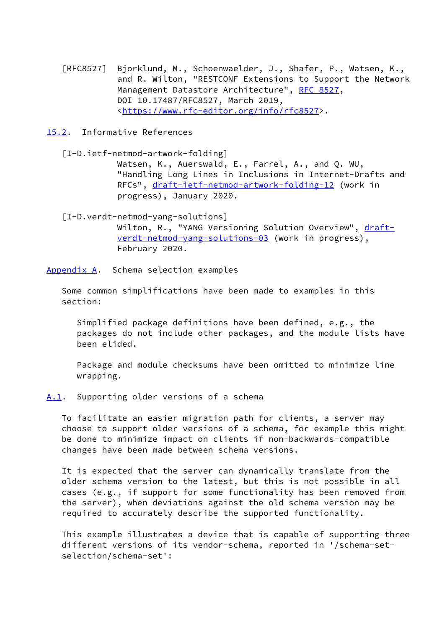- [RFC8527] Bjorklund, M., Schoenwaelder, J., Shafer, P., Watsen, K., and R. Wilton, "RESTCONF Extensions to Support the Network Management Datastore Architecture", [RFC 8527,](https://datatracker.ietf.org/doc/pdf/rfc8527) DOI 10.17487/RFC8527, March 2019, <[https://www.rfc-editor.org/info/rfc8527>](https://www.rfc-editor.org/info/rfc8527).
- <span id="page-25-0"></span>[15.2](#page-25-0). Informative References

 [I-D.ietf-netmod-artwork-folding] Watsen, K., Auerswald, E., Farrel, A., and Q. WU, "Handling Long Lines in Inclusions in Internet-Drafts and RFCs", [draft-ietf-netmod-artwork-folding-12](https://datatracker.ietf.org/doc/pdf/draft-ietf-netmod-artwork-folding-12) (work in progress), January 2020.

 [I-D.verdt-netmod-yang-solutions] Wilton, R., "YANG Versioning Solution Overview", [draft](https://datatracker.ietf.org/doc/pdf/draft-verdt-netmod-yang-solutions-03) [verdt-netmod-yang-solutions-03](https://datatracker.ietf.org/doc/pdf/draft-verdt-netmod-yang-solutions-03) (work in progress), February 2020.

<span id="page-25-1"></span>[Appendix A.](#page-25-1) Schema selection examples

 Some common simplifications have been made to examples in this section:

 Simplified package definitions have been defined, e.g., the packages do not include other packages, and the module lists have been elided.

 Package and module checksums have been omitted to minimize line wrapping.

<span id="page-25-2"></span>[A.1](#page-25-2). Supporting older versions of a schema

 To facilitate an easier migration path for clients, a server may choose to support older versions of a schema, for example this might be done to minimize impact on clients if non-backwards-compatible changes have been made between schema versions.

 It is expected that the server can dynamically translate from the older schema version to the latest, but this is not possible in all cases (e.g., if support for some functionality has been removed from the server), when deviations against the old schema version may be required to accurately describe the supported functionality.

 This example illustrates a device that is capable of supporting three different versions of its vendor-schema, reported in '/schema-set selection/schema-set':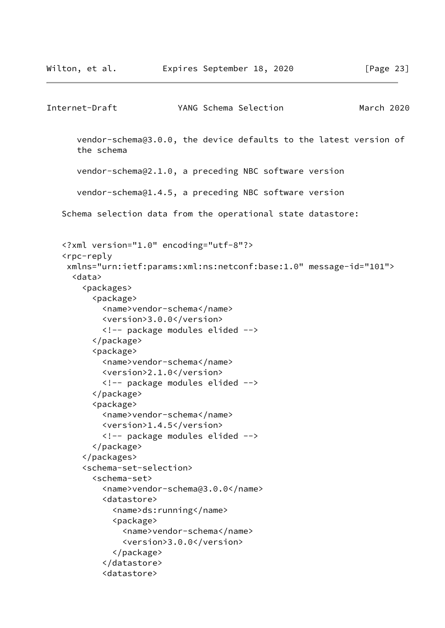```
Internet-Draft YANG Schema Selection March 2020
       vendor-schema@3.0.0, the device defaults to the latest version of
       the schema
       vendor-schema@2.1.0, a preceding NBC software version
       vendor-schema@1.4.5, a preceding NBC software version
    Schema selection data from the operational state datastore:
    <?xml version="1.0" encoding="utf-8"?>
    <rpc-reply
     xmlns="urn:ietf:params:xml:ns:netconf:base:1.0" message-id="101">
      <data>
        <packages>
          <package>
            <name>vendor-schema</name>
            <version>3.0.0</version>
            <!-- package modules elided -->
          </package>
          <package>
            <name>vendor-schema</name>
            <version>2.1.0</version>
            <!-- package modules elided -->
          </package>
          <package>
            <name>vendor-schema</name>
            <version>1.4.5</version>
            <!-- package modules elided -->
          </package>
        </packages>
        <schema-set-selection>
          <schema-set>
            <name>vendor-schema@3.0.0</name>
            <datastore>
              <name>ds:running</name>
              <package>
                <name>vendor-schema</name>
                <version>3.0.0</version>
              </package>
            </datastore>
            <datastore>
```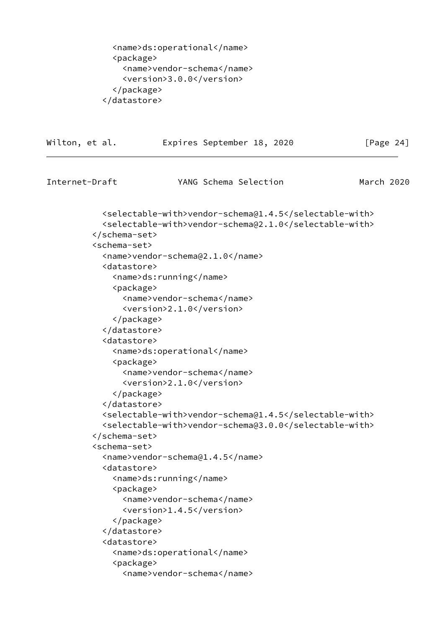```
 <name>ds:operational</name>
   <package>
     <name>vendor-schema</name>
     <version>3.0.0</version>
   </package>
 </datastore>
```

| Wilton, et al.                                                                                                          |                                                                                                                       | Expires September 18, 2020 |                                                                                                                  | [Page $24$ ] |
|-------------------------------------------------------------------------------------------------------------------------|-----------------------------------------------------------------------------------------------------------------------|----------------------------|------------------------------------------------------------------------------------------------------------------|--------------|
| Internet-Draft                                                                                                          |                                                                                                                       | YANG Schema Selection      |                                                                                                                  | March 2020   |
| <br><schema-set><br/><datastore><br/><package><br/></package><br/></datastore><br/><datastore></datastore></schema-set> | <name>vendor-schema@2.1.0</name><br><name>ds:running</name><br><name>vendor-schema</name><br><version>2.1.0</version> |                            | <selectable-with>vendor-schema@1.4.5</selectable-with><br><selectable-with>vendor-schema@2.1.0</selectable-with> |              |
| <package></package>                                                                                                     | <name>ds:operational</name><br><name>vendor-schema</name><br><version>2.1.0</version>                                 |                            |                                                                                                                  |              |
| <br><br>                                                                                                                |                                                                                                                       |                            | <selectable-with>vendor-schema@1.4.5</selectable-with><br><selectable-with>vendor-schema@3.0.0</selectable-with> |              |
| <schema-set><br/><datastore></datastore></schema-set>                                                                   | <name>vendor-schema@1.4.5</name><br><name>ds:running</name>                                                           |                            |                                                                                                                  |              |
| <package><br/></package>                                                                                                | <name>vendor-schema</name><br><version>1.4.5</version>                                                                |                            |                                                                                                                  |              |
| <br><datastore><br/><package></package></datastore>                                                                     | <name>ds:operational</name><br><name>vendor-schema</name>                                                             |                            |                                                                                                                  |              |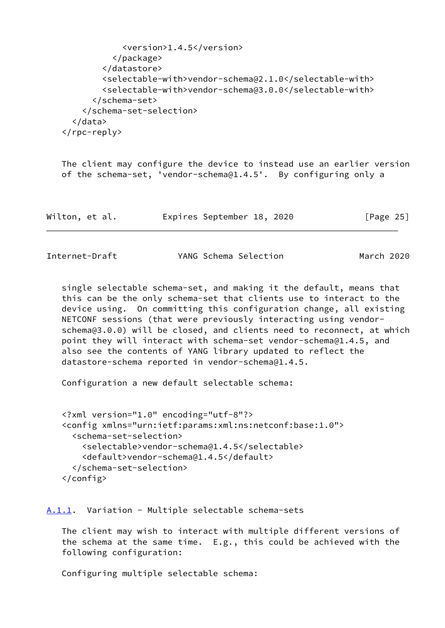```
 <version>1.4.5</version>
           </package>
         </datastore>
         <selectable-with>vendor-schema@2.1.0</selectable-with>
         <selectable-with>vendor-schema@3.0.0</selectable-with>
       </schema-set>
     </schema-set-selection>
   </data>
 </rpc-reply>
```
 The client may configure the device to instead use an earlier version of the schema-set, 'vendor-schema@1.4.5'. By configuring only a

| Wilton, et al. |  | Expires September 18, 2020 |  |  | [Page 25] |  |
|----------------|--|----------------------------|--|--|-----------|--|
|----------------|--|----------------------------|--|--|-----------|--|

<span id="page-28-1"></span>

 single selectable schema-set, and making it the default, means that this can be the only schema-set that clients use to interact to the device using. On committing this configuration change, all existing NETCONF sessions (that were previously interacting using vendor schema@3.0.0) will be closed, and clients need to reconnect, at which point they will interact with schema-set vendor-schema@1.4.5, and also see the contents of YANG library updated to reflect the datastore-schema reported in vendor-schema@1.4.5.

Configuration a new default selectable schema:

```
 <?xml version="1.0" encoding="utf-8"?>
 <config xmlns="urn:ietf:params:xml:ns:netconf:base:1.0">
   <schema-set-selection>
     <selectable>vendor-schema@1.4.5</selectable>
     <default>vendor-schema@1.4.5</default>
   </schema-set-selection>
 </config>
```
#### <span id="page-28-0"></span>[A.1.1](#page-28-0). Variation - Multiple selectable schema-sets

 The client may wish to interact with multiple different versions of the schema at the same time. E.g., this could be achieved with the following configuration:

Configuring multiple selectable schema: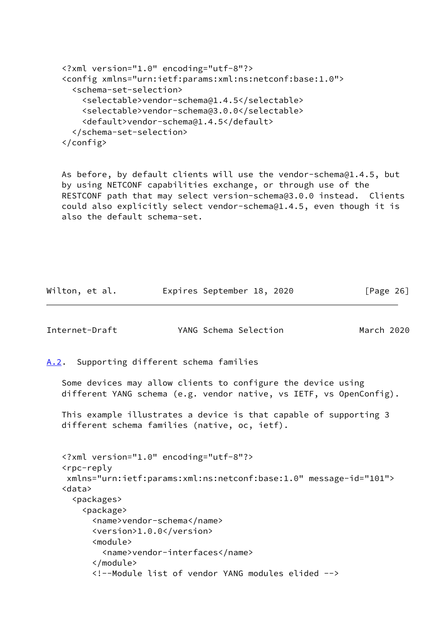```
 <?xml version="1.0" encoding="utf-8"?>
 <config xmlns="urn:ietf:params:xml:ns:netconf:base:1.0">
   <schema-set-selection>
     <selectable>vendor-schema@1.4.5</selectable>
     <selectable>vendor-schema@3.0.0</selectable>
     <default>vendor-schema@1.4.5</default>
   </schema-set-selection>
 </config>
```
 As before, by default clients will use the vendor-schema@1.4.5, but by using NETCONF capabilities exchange, or through use of the RESTCONF path that may select version-schema@3.0.0 instead. Clients could also explicitly select vendor-schema@1.4.5, even though it is also the default schema-set.

Wilton, et al. Expires September 18, 2020 [Page 26]

<span id="page-29-1"></span><span id="page-29-0"></span>

|      | Internet-Draft                                                                                                                                                                                                                                                                                                                                                                               | YANG Schema Selection | March 2020 |  |
|------|----------------------------------------------------------------------------------------------------------------------------------------------------------------------------------------------------------------------------------------------------------------------------------------------------------------------------------------------------------------------------------------------|-----------------------|------------|--|
| A.2. | Supporting different schema families                                                                                                                                                                                                                                                                                                                                                         |                       |            |  |
|      | Some devices may allow clients to configure the device using<br>different YANG schema (e.g. vendor native, vs IETF, vs OpenConfig).                                                                                                                                                                                                                                                          |                       |            |  |
|      | This example illustrates a device is that capable of supporting 3<br>different schema families (native, oc, ietf).                                                                                                                                                                                                                                                                           |                       |            |  |
|      | xml version="1.0" encoding="utf-8"?<br><rpc-reply<br>xmlns="urn:ietf:params:xml:ns:netconf:base:1.0" message-id="101"&gt;<br/><data><br/><packages><br/><package><br/><name>vendor-schema</name><br/><version>1.0.0</version><br/><module><br/><name>vendor-interfaces</name><br/></module><br/><!--Module list of vendor YANG modules elided --></package></packages></data></rpc-reply<br> |                       |            |  |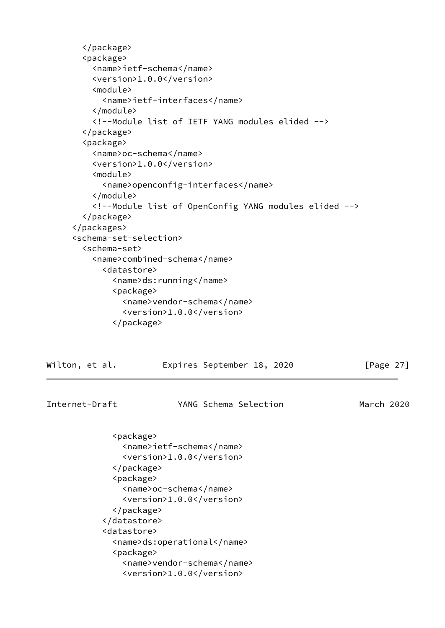```
 </package>
        <package>
          <name>ietf-schema</name>
          <version>1.0.0</version>
          <module>
            <name>ietf-interfaces</name>
          </module>
          <!--Module list of IETF YANG modules elided -->
        </package>
        <package>
         <name>oc-schema</name>
          <version>1.0.0</version>
          <module>
            <name>openconfig-interfaces</name>
          </module>
          <!--Module list of OpenConfig YANG modules elided -->
        </package>
      </packages>
      <schema-set-selection>
        <schema-set>
          <name>combined-schema</name>
            <datastore>
              <name>ds:running</name>
              <package>
               <name>vendor-schema</name>
                <version>1.0.0</version>
              </package>
Wilton, et al. Expires September 18, 2020 [Page 27]
```

```
Internet-Draft YANG Schema Selection March 2020
              <package>
                <name>ietf-schema</name>
                <version>1.0.0</version>
              </package>
              <package>
                <name>oc-schema</name>
                <version>1.0.0</version>
              </package>
            </datastore>
            <datastore>
              <name>ds:operational</name>
              <package>
                <name>vendor-schema</name>
                <version>1.0.0</version>
```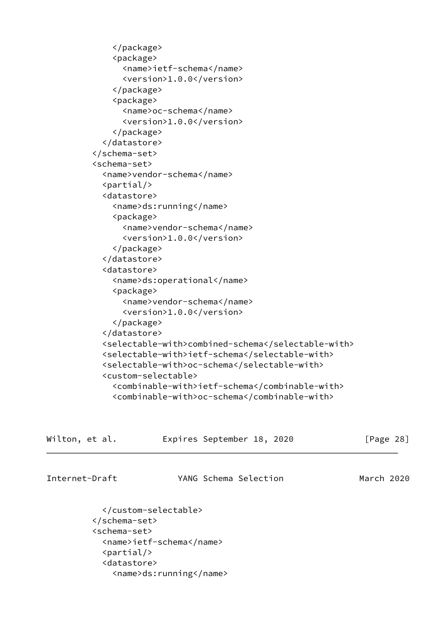```
 </package>
              <package>
                <name>ietf-schema</name>
                <version>1.0.0</version>
              </package>
              <package>
                <name>oc-schema</name>
                <version>1.0.0</version>
              </package>
            </datastore>
          </schema-set>
          <schema-set>
            <name>vendor-schema</name>
           \langlepartial/>
            <datastore>
              <name>ds:running</name>
              <package>
                <name>vendor-schema</name>
                <version>1.0.0</version>
              </package>
            </datastore>
            <datastore>
              <name>ds:operational</name>
              <package>
               <name>vendor-schema</name>
                <version>1.0.0</version>
              </package>
            </datastore>
            <selectable-with>combined-schema</selectable-with>
            <selectable-with>ietf-schema</selectable-with>
            <selectable-with>oc-schema</selectable-with>
            <custom-selectable>
              <combinable-with>ietf-schema</combinable-with>
              <combinable-with>oc-schema</combinable-with>
Wilton, et al. Expires September 18, 2020 [Page 28]
Internet-Draft YANG Schema Selection March 2020
```

```
 </custom-selectable>
 </schema-set>
 <schema-set>
   <name>ietf-schema</name>
  \langlepartial/>
   <datastore>
     <name>ds:running</name>
```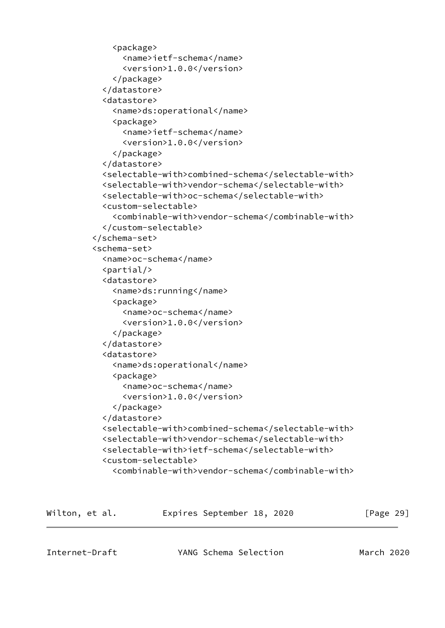```
 <package>
       <name>ietf-schema</name>
       <version>1.0.0</version>
     </package>
   </datastore>
   <datastore>
     <name>ds:operational</name>
     <package>
       <name>ietf-schema</name>
       <version>1.0.0</version>
     </package>
   </datastore>
   <selectable-with>combined-schema</selectable-with>
   <selectable-with>vendor-schema</selectable-with>
   <selectable-with>oc-schema</selectable-with>
   <custom-selectable>
     <combinable-with>vendor-schema</combinable-with>
   </custom-selectable>
 </schema-set>
 <schema-set>
   <name>oc-schema</name>
   <partial/>
   <datastore>
     <name>ds:running</name>
     <package>
       <name>oc-schema</name>
       <version>1.0.0</version>
     </package>
   </datastore>
   <datastore>
     <name>ds:operational</name>
     <package>
       <name>oc-schema</name>
       <version>1.0.0</version>
     </package>
   </datastore>
   <selectable-with>combined-schema</selectable-with>
   <selectable-with>vendor-schema</selectable-with>
   <selectable-with>ietf-schema</selectable-with>
   <custom-selectable>
     <combinable-with>vendor-schema</combinable-with>
```

| Wilton, et al. | Expires September 18, 2020 |  | [Page 29] |  |
|----------------|----------------------------|--|-----------|--|
|                |                            |  |           |  |

<span id="page-32-0"></span>Internet-Draft YANG Schema Selection March 2020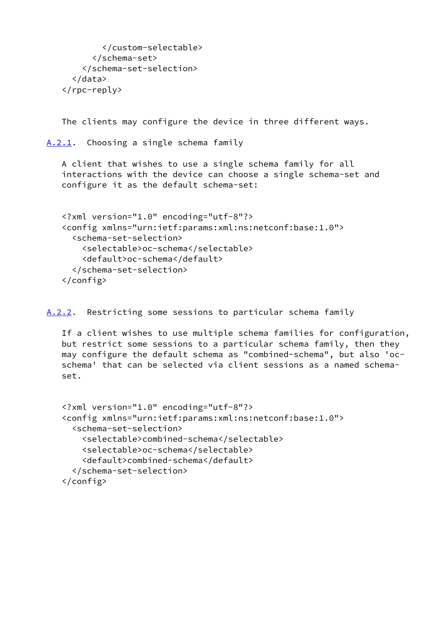```
 </custom-selectable>
       </schema-set>
     </schema-set-selection>
   </data>
 </rpc-reply>
```
The clients may configure the device in three different ways.

<span id="page-33-0"></span>[A.2.1](#page-33-0). Choosing a single schema family

 A client that wishes to use a single schema family for all interactions with the device can choose a single schema-set and configure it as the default schema-set:

```
 <?xml version="1.0" encoding="utf-8"?>
 <config xmlns="urn:ietf:params:xml:ns:netconf:base:1.0">
   <schema-set-selection>
     <selectable>oc-schema</selectable>
     <default>oc-schema</default>
   </schema-set-selection>
 </config>
```
<span id="page-33-1"></span>[A.2.2](#page-33-1). Restricting some sessions to particular schema family

 If a client wishes to use multiple schema families for configuration, but restrict some sessions to a particular schema family, then they may configure the default schema as "combined-schema", but also 'oc schema' that can be selected via client sessions as a named schema set.

```
 <?xml version="1.0" encoding="utf-8"?>
 <config xmlns="urn:ietf:params:xml:ns:netconf:base:1.0">
   <schema-set-selection>
     <selectable>combined-schema</selectable>
     <selectable>oc-schema</selectable>
     <default>combined-schema</default>
   </schema-set-selection>
 </config>
```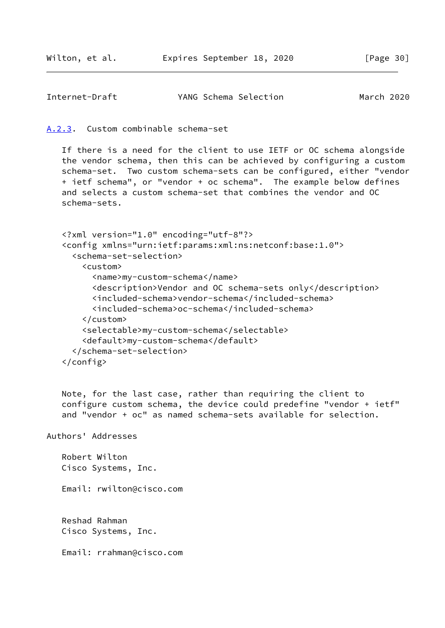```
Internet-Draft YANG Schema Selection March 2020
```
<span id="page-34-0"></span>[A.2.3](#page-34-0). Custom combinable schema-set

 If there is a need for the client to use IETF or OC schema alongside the vendor schema, then this can be achieved by configuring a custom schema-set. Two custom schema-sets can be configured, either "vendor + ietf schema", or "vendor + oc schema". The example below defines and selects a custom schema-set that combines the vendor and OC schema-sets.

```
 <?xml version="1.0" encoding="utf-8"?>
 <config xmlns="urn:ietf:params:xml:ns:netconf:base:1.0">
   <schema-set-selection>
     <custom>
       <name>my-custom-schema</name>
       <description>Vendor and OC schema-sets only</description>
       <included-schema>vendor-schema</included-schema>
       <included-schema>oc-schema</included-schema>
     </custom>
     <selectable>my-custom-schema</selectable>
     <default>my-custom-schema</default>
   </schema-set-selection>
```
</config>

 Note, for the last case, rather than requiring the client to configure custom schema, the device could predefine "vendor + ietf" and "vendor + oc" as named schema-sets available for selection.

```
Authors' Addresses
```
 Robert Wilton Cisco Systems, Inc.

Email: rwilton@cisco.com

 Reshad Rahman Cisco Systems, Inc.

Email: rrahman@cisco.com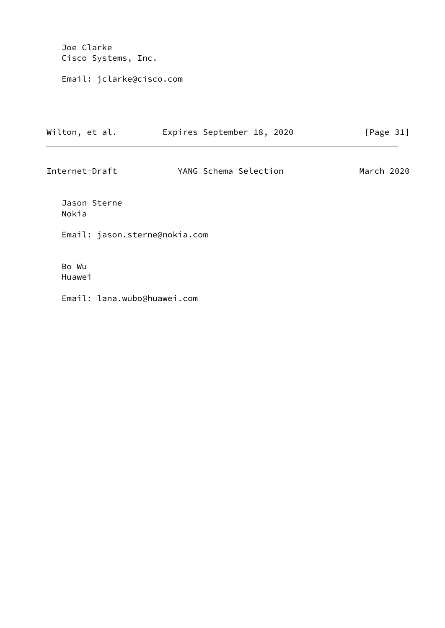Joe Clarke Cisco Systems, Inc.

Email: jclarke@cisco.com

| Wilton, et al.                | Expires September 18, 2020 | [Page $31$ ] |
|-------------------------------|----------------------------|--------------|
| Internet-Draft                | YANG Schema Selection      | March 2020   |
| Jason Sterne<br>Nokia         |                            |              |
| Email: jason.sterne@nokia.com |                            |              |
| Bo Wu<br>Huawei               |                            |              |
| Email: lana.wubo@huawei.com   |                            |              |